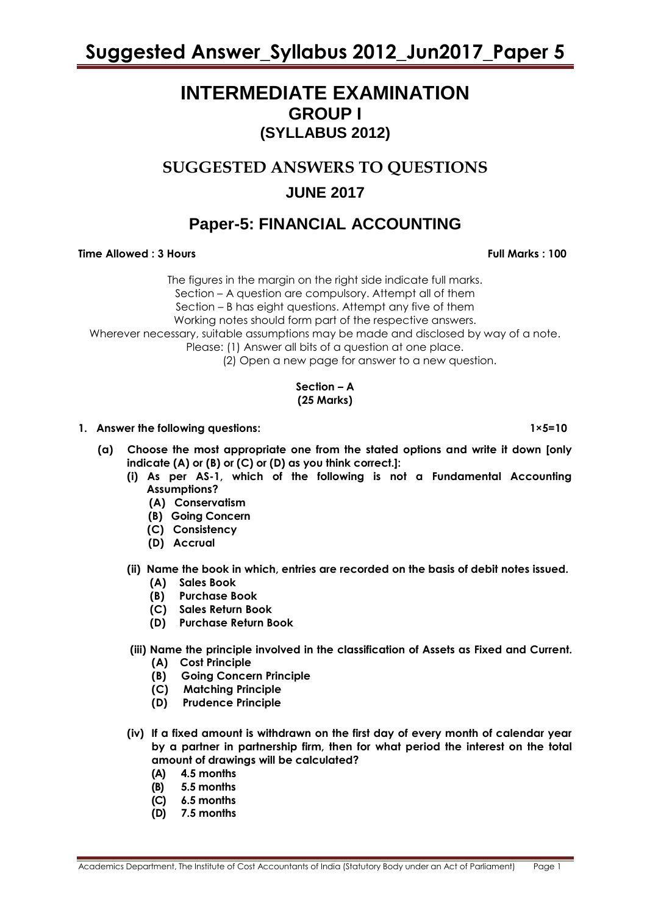### **INTERMEDIATE EXAMINATION GROUP I (SYLLABUS 2012)**

### **SUGGESTED ANSWERS TO QUESTIONS**

### **JUNE 2017**

### **Paper-5: FINANCIAL ACCOUNTING**

#### **Time Allowed : 3 Hours Full Marks Full Marks : 100**

The figures in the margin on the right side indicate full marks. Section – A question are compulsory. Attempt all of them Section – B has eight questions. Attempt any five of them Working notes should form part of the respective answers. Wherever necessary, suitable assumptions may be made and disclosed by way of a note. Please: (1) Answer all bits of a question at one place. (2) Open a new page for answer to a new question.

#### **Section – A (25 Marks)**

- **1. Answer the following questions: 1×5=10**
	- **(a) Choose the most appropriate one from the stated options and write it down [only indicate (A) or (B) or (C) or (D) as you think correct.]:**
		- **(i) As per AS-1, which of the following is not a Fundamental Accounting Assumptions?**
			- **(A) Conservatism**
			- **(B) Going Concern**
			- **(C) Consistency**
			- **(D) Accrual**
		- **(ii) Name the book in which, entries are recorded on the basis of debit notes issued.** 
			- **(A) Sales Book**
			- **(B) Purchase Book**
			- **(C) Sales Return Book**
			- **(D) Purchase Return Book**
		- **(iii) Name the principle involved in the classification of Assets as Fixed and Current.** 
			- **(A) Cost Principle**
			- **(B) Going Concern Principle**
			- **(C) Matching Principle**
			- **(D) Prudence Principle**
		- **(iv) If a fixed amount is withdrawn on the first day of every month of calendar year by a partner in partnership firm, then for what period the interest on the total amount of drawings will be calculated?**
			- **(A) 4.5 months**
			- **(B) 5.5 months**
			- **(C) 6.5 months**
			- **(D) 7.5 months**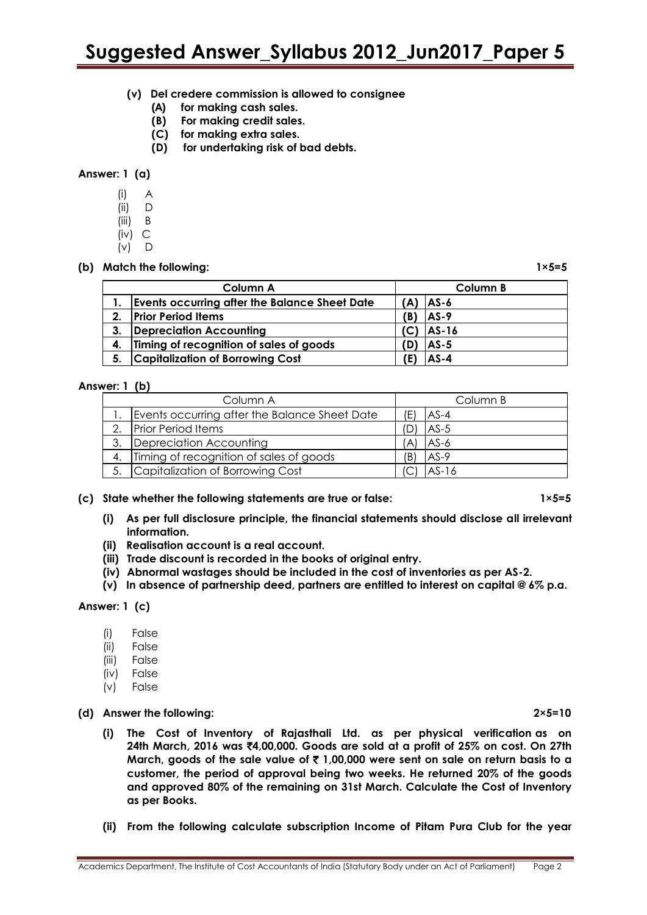- **(v) Del credere commission is allowed to consignee**
	- **(A) for making cash sales.**
	- **(B) For making credit sales.**
	- **(C) for making extra sales.**
	- **(D) for undertaking risk of bad debts.**

#### **Answer: 1 (a)**

- (i) A
- (ii) D
- (iii) B
- (iv) C
- $(v)$   $\Box$

#### **(b) Match the following: 1×5=5**

|    | Column A                                             |     | Column B |
|----|------------------------------------------------------|-----|----------|
|    | <b>Events occurring after the Balance Sheet Date</b> | A)  | $ AS-6 $ |
| 2. | <b>Prior Period Items</b>                            | (B) | $AS-9$   |
| 3. | Depreciation Accounting                              |     | AS-16    |
|    | 4. Timing of recognition of sales of goods           |     | $AS-5$   |
| 5. | <b>Capitalization of Borrowing Cost</b>              |     | $AS-4$   |

#### **Answer: 1 (b)**

|               | Column A                                      |     | Column B |  |  |
|---------------|-----------------------------------------------|-----|----------|--|--|
|               | Events occurring after the Balance Sheet Date | Έ   | $AS-4$   |  |  |
| $\mathcal{D}$ | <b>Prior Period Items</b>                     |     | $AS-5$   |  |  |
| 3.            | Depreciation Accounting                       | A)  | $AS-6$   |  |  |
|               | Timing of recognition of sales of goods       | 'B) | $AS-9$   |  |  |
| 5.            | Capitalization of Borrowing Cost              |     | $AS-16$  |  |  |

#### **(c) State whether the following statements are true or false: 1×5=5**

- **(i) As per full disclosure principle, the financial statements should disclose all irrelevant information.**
- **(ii) Realisation account is a real account.**
- **(iii) Trade discount is recorded in the books of original entry.**
- **(iv) Abnormal wastages should be included in the cost of inventories as per AS-2.**
- **(v) In absence of partnership deed, partners are entitled to interest on capital @ 6% p.a.**

#### **Answer: 1 (c)**

- (i) False
- (ii) False
- (iii) False
- (iv) False
- (v) False

#### **(d) Answer the following: 2×5=10**

- **(i) The Cost of Inventory of Rajasthali Ltd. as per physical verification as on 24th March, 2016 was** `**4,00,000. Goods are sold at a profit of 25% on cost. On 27th March, goods of the sale value of** ` **1,00,000 were sent on sale on return basis to a customer, the period of approval being two weeks. He returned 20% of the goods and approved 80% of the remaining on 31st March. Calculate the Cost of Inventory as per Books.**
- **(ii) From the following calculate subscription Income of Pitam Pura Club for the year**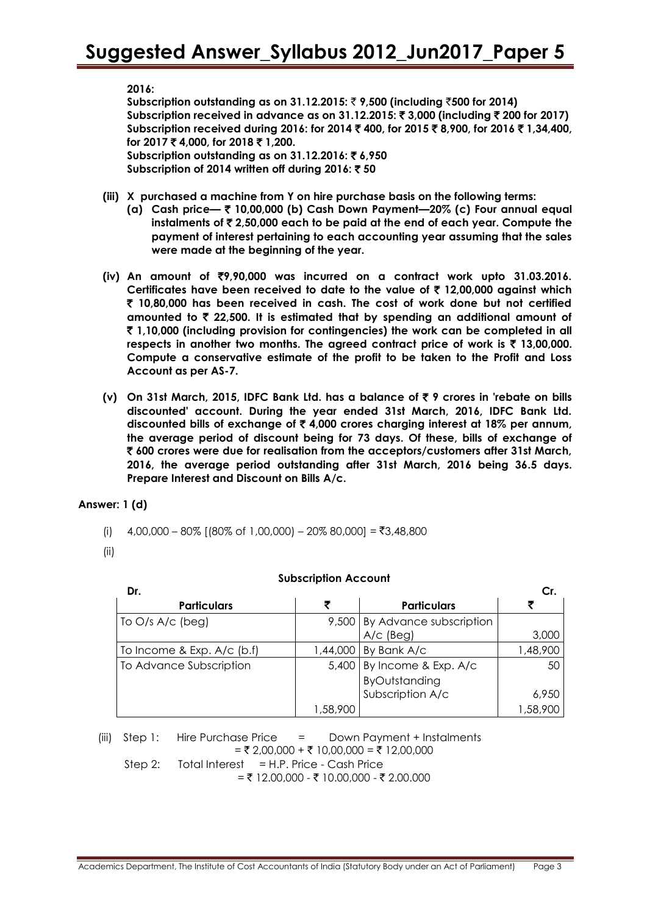**2016:**

**Subscription outstanding as on 31.12.2015:** ` **9,500 (including** `**500 for 2014) Subscription received in advance as on 31.12.2015:** ` **3,000 (including** ` **200 for 2017) Subscription received during 2016: for 2014** ` **400, for 2015** ` **8,900, for 2016** ` **1,34,400, for 2017** ` **4,000, for 2018** ` **1,200. Subscription outstanding as on 31.12.2016:** ` **6,950 Subscription of 2014 written off during 2016:** ` **50**

- **(iii) X purchased a machine from Y on hire purchase basis on the following terms:**
	- **(a) Cash price—** ` **10,00,000 (b) Cash Down Payment—20% (c) Four annual equal instalments of** ` **2,50,000 each to be paid at the end of each year. Compute the payment of interest pertaining to each accounting year assuming that the sales were made at the beginning of the year.**
- **(iv) An amount of** `**9,90,000 was incurred on a contract work upto 31.03.2016. Certificates have been received to date to the value of** ` **12,00,000 against which**  ` **10,80,000 has been received in cash. The cost of work done but not certified amounted to** ` **22,500. It is estimated that by spending an additional amount of**  ` **1,10,000 (including provision for contingencies) the work can be completed in all respects in another two months. The agreed contract price of work is** ` **13,00,000. Compute a conservative estimate of the profit to be taken to the Profit and Loss Account as per AS-7.**
- **(v) On 31st March, 2015, IDFC Bank Ltd. has a balance of** ` **9 crores in 'rebate on bills discounted' account. During the year ended 31st March, 2016, IDFC Bank Ltd. discounted bills of exchange of** ` **4,000 crores charging interest at 18% per annum, the average period of discount being for 73 days. Of these, bills of exchange of**  ` **600 crores were due for realisation from the acceptors/customers after 31st March, 2016, the average period outstanding after 31st March, 2016 being 36.5 days. Prepare Interest and Discount on Bills A/c.**

#### **Answer: 1 (d)**

- (i)  $4,00,000 80\%$  [(80% of 1,00,000) 20% 80,000] = ₹3,48,800
- (ii)

| <b>Subscription Account</b> |  |
|-----------------------------|--|
|-----------------------------|--|

| Dr.                          |          |                               | Сr.      |
|------------------------------|----------|-------------------------------|----------|
| <b>Particulars</b>           |          | <b>Particulars</b>            |          |
| To $O/s$ A/c (beg)           |          | 9,500 By Advance subscription |          |
|                              |          | $A/c$ (Beg)                   | 3,000    |
| To Income & Exp. $A/c$ (b.f) | 1,44,000 | By Bank A/c                   | 1,48,900 |
| To Advance Subscription      |          | 5,400 By Income & Exp. A/c    | 50       |
|                              |          | ByOutstanding                 |          |
|                              |          | Subscription A/c              | 6,950    |
|                              | 1,58,900 |                               | 1,58,900 |

(iii)Step 1: Hire Purchase Price = Down Payment + Instalments  $= ₹ 2,00,000 + ₹ 10,00,000 = ₹ 12,00,000$ Step 2: Total Interest  $=$  H.P. Price - Cash Price  $=$  ₹ 12.00,000 - ₹ 10.00,000 - ₹ 2.00.000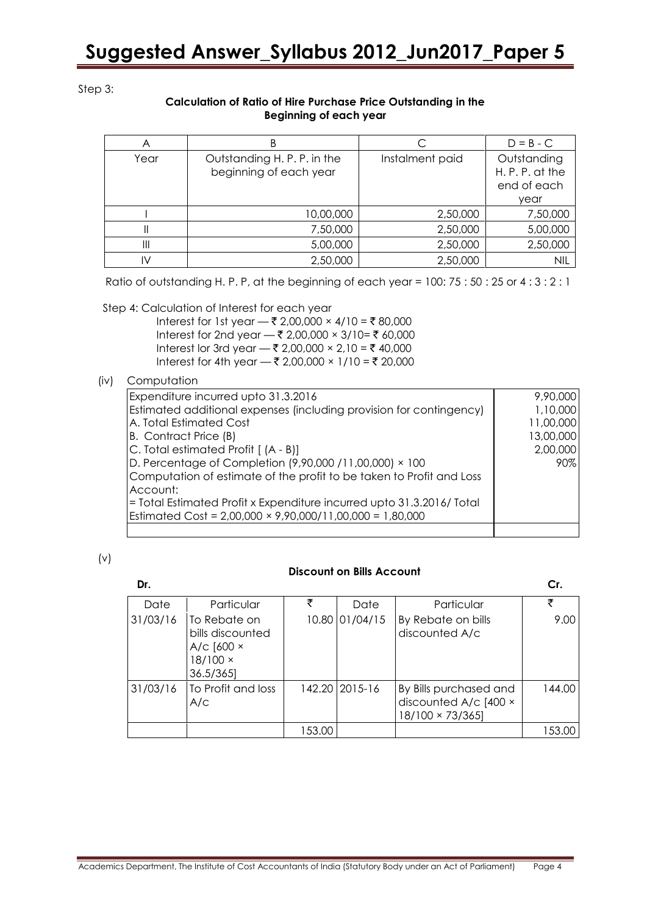Step 3:

#### **Calculation of Ratio of Hire Purchase Price Outstanding in the Beginning of each year**

| Α    |                                                       |                 | $D = B - C$                                         |
|------|-------------------------------------------------------|-----------------|-----------------------------------------------------|
| Year | Outstanding H. P. P. in the<br>beginning of each year | Instalment paid | Outstanding<br>H.P.P. at the<br>end of each<br>year |
|      | 10,00,000                                             | 2,50,000        | 7,50,000                                            |
|      | 7,50,000                                              | 2,50,000        | 5,00,000                                            |
| Ш    | 5,00,000                                              | 2,50,000        | 2,50,000                                            |
| IV   | 2,50,000                                              | 2,50,000        | NIL                                                 |

Ratio of outstanding H. P. P, at the beginning of each year = 100: 75 : 50 : 25 or 4 : 3 : 2 : 1

Step 4: Calculation of Interest for each year

Interest for 1st year  $\frac{1}{2}$ ,00,000 × 4/10 = ₹ 80,000 Interest for 2nd year  $-$  ₹ 2,00,000 × 3/10= ₹ 60,000 Interest lor 3rd year  $\rightarrow$  ₹ 2,00,000 × 2,10 = ₹ 40,000 Interest for 4th year  $\frac{1}{2}$  2,00,000 × 1/10 = ₹ 20,000

#### (iv) Computation

| Expenditure incurred upto 31.3.2016                                   | 9,90,000  |
|-----------------------------------------------------------------------|-----------|
| Estimated additional expenses (including provision for contingency)   | 1,10,000  |
| A. Total Estimated Cost                                               | 11,00,000 |
| B. Contract Price (B)                                                 | 13,00,000 |
| $C.$ Total estimated Profit $(A - B)$                                 | 2,00,000  |
| D. Percentage of Completion (9,90,000 / 11,00,000) × 100              | 90%       |
| Computation of estimate of the profit to be taken to Profit and Loss  |           |
| Account:                                                              |           |
| = Total Estimated Profit x Expenditure incurred upto 31.3.2016/ Total |           |
| Estimated Cost = $2,00,000 \times 9,90,000/11,00,000 = 1,80,000$      |           |
|                                                                       |           |

#### (v)

#### **Discount on Bills Account**

| Dr.      |                                                                                      |        |                  |                                                                           | Сr.    |
|----------|--------------------------------------------------------------------------------------|--------|------------------|---------------------------------------------------------------------------|--------|
| Date     | Particular                                                                           | ₹      | Date             | Particular                                                                | ₹      |
| 31/03/16 | To Rebate on<br>bills discounted<br>A/c $[600 \times$<br>$18/100 \times$<br>36.5/365 |        | 10.80 01/04/15   | By Rebate on bills<br>discounted A/c                                      | 9.00   |
| 31/03/16 | To Profit and loss<br>A/C                                                            |        | 142.20   2015-16 | By Bills purchased and<br>discounted A/c [400 ×<br>$18/100 \times 73/365$ | 144.00 |
|          |                                                                                      | 153.00 |                  |                                                                           | 153.00 |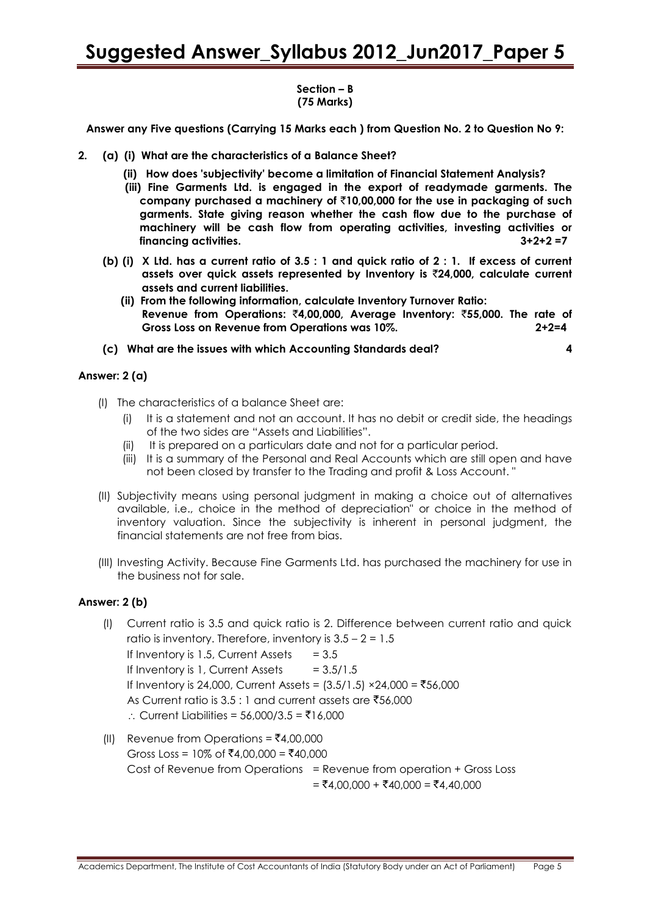#### **Section – B (75 Marks)**

**Answer any Five questions (Carrying 15 Marks each ) from Question No. 2 to Question No 9:**

- **2. (a) (i) What are the characteristics of a Balance Sheet?**
	- **(ii) How does 'subjectivity' become a limitation of Financial Statement Analysis?**
	- **(iii) Fine Garments Ltd. is engaged in the export of readymade garments. The company purchased a machinery of** `**10,00,000 for the use in packaging of such garments. State giving reason whether the cash flow due to the purchase of machinery will be cash flow from operating activities, investing activities or financing activities. 3+2+2 =7**
	- **(b) (i) X Ltd. has a current ratio of 3.5 : 1 and quick ratio of 2 : 1. If excess of current assets over quick assets represented by Inventory is** `**24,000, calculate current assets and current liabilities.**
		- **(ii) From the following information, calculate Inventory Turnover Ratio: Revenue from Operations:** `**4,00,000, Average Inventory:** `**55,000. The rate of Gross Loss on Revenue from Operations was 10%. 2+2=4**
	- **(c) What are the issues with which Accounting Standards deal? 4**

#### **Answer: 2 (a)**

- (I) The characteristics of a balance Sheet are:
	- (i) It is a statement and not an account. It has no debit or credit side, the headings of the two sides are "Assets and Liabilities".
	- (ii) It is prepared on a particulars date and not for a particular period.
	- (iii) It is a summary of the Personal and Real Accounts which are still open and have not been closed by transfer to the Trading and profit & Loss Account. "
- (II) Subjectivity means using personal judgment in making a choice out of alternatives available, i.e., choice in the method of depreciation" or choice in the method of inventory valuation. Since the subjectivity is inherent in personal judgment, the financial statements are not free from bias.
- (III) Investing Activity. Because Fine Garments Ltd. has purchased the machinery for use in the business not for sale.

#### **Answer: 2 (b)**

- (I) Current ratio is 3.5 and quick ratio is 2. Difference between current ratio and quick ratio is inventory. Therefore, inventory is  $3.5 - 2 = 1.5$ If Inventory is 1.5, Current Assets  $= 3.5$ If Inventory is 1, Current Assets  $= 3.5/1.5$ If Inventory is 24,000, Current Assets =  $(3.5/1.5)$  ×24,000 = ₹56,000 As Current ratio is 3.5 : 1 and current assets are  $\bar{z}$ 56,000  $\therefore$  Current Liabilities = 56,000/3.5 = ₹16,000
- (II) Revenue from Operations =  $\bar{z}4,00,000$ Gross Loss = 10% of ₹4,00,000 = ₹40,000 Cost of Revenue from Operations = Revenue from operation + Gross Loss  $= ₹4,00,000 + ₹40,000 = ₹4,40,000$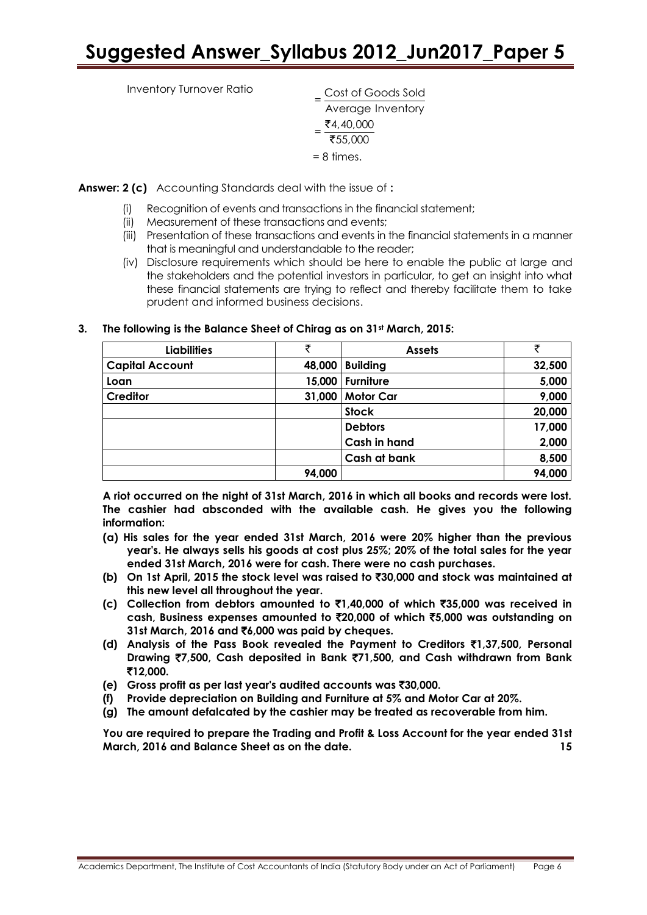Inventory Turnover Ratio

 $=\frac{\text{Cost of Goods Sold}}{\frac{1}{2}}$ Average Inventory  $=\frac{54,40,000}{755,000}$ ₹55,000 = 8 times.

**Answer: 2 (c)** Accounting Standards deal with the issue of **:**

- (i) Recognition of events and transactions in the financial statement;
- (ii) Measurement of these transactions and events;
- (iii) Presentation of these transactions and events in the financial statements in a manner that is meaningful and understandable to the reader;
- (iv) Disclosure requirements which should be here to enable the public at large and the stakeholders and the potential investors in particular, to get an insight into what these financial statements are trying to reflect and thereby facilitate them to take prudent and informed business decisions.

#### **3. The following is the Balance Sheet of Chirag as on 31st March, 2015:**

| <b>Liabilities</b>     | ₹      | <b>Assets</b>       | ₹      |
|------------------------|--------|---------------------|--------|
| <b>Capital Account</b> | 48,000 | <b>Building</b>     | 32,500 |
| Loan                   | 15,000 | <b>Furniture</b>    | 5,000  |
| <b>Creditor</b>        | 31,000 | <b>Motor Car</b>    | 9,000  |
|                        |        | <b>Stock</b>        | 20,000 |
|                        |        | <b>Debtors</b>      | 17,000 |
|                        |        | Cash in hand        | 2,000  |
|                        |        | <b>Cash at bank</b> | 8,500  |
|                        | 94,000 |                     | 94,000 |

**A riot occurred on the night of 31st March, 2016 in which all books and records were lost. The cashier had absconded with the available cash. He gives you the following information:**

- **(a) His sales for the year ended 31st March, 2016 were 20% higher than the previous year's. He always sells his goods at cost plus 25%; 20% of the total sales for the year ended 31st March, 2016 were for cash. There were no cash purchases.**
- **(b) On 1st April, 2015 the stock level was raised to** `**30,000 and stock was maintained at this new level all throughout the year.**
- **(c) Collection from debtors amounted to** `**1,40,000 of which** `**35,000 was received in cash, Business expenses amounted to** `**20,000 of which** `**5,000 was outstanding on 31st March, 2016 and** `**6,000 was paid by cheques.**
- **(d) Analysis of the Pass Book revealed the Payment to Creditors** `**1,37,500, Personal Drawing** `**7,500, Cash deposited in Bank** `**71,500, and Cash withdrawn from Bank**  `**12,000.**
- **(e) Gross profit as per last year's audited accounts was** `**30,000.**
- **(f) Provide depreciation on Building and Furniture at 5% and Motor Car at 20%.**
- **(g) The amount defalcated by the cashier may be treated as recoverable from him.**

**You are required to prepare the Trading and Profit & Loss Account for the year ended 31st March, 2016 and Balance Sheet as on the date. 15**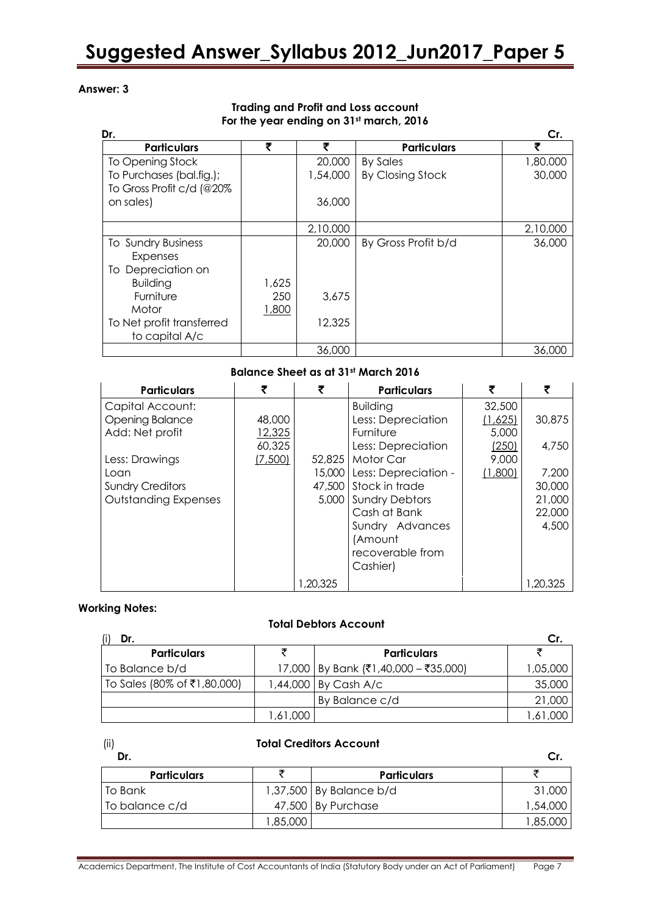#### **Answer: 3**

#### **Trading and Profit and Loss account For the year ending on 31st march, 2016**

| Dr.                       |       |          |                         | Cr.      |
|---------------------------|-------|----------|-------------------------|----------|
| <b>Particulars</b>        | ₹     | ₹        | <b>Particulars</b>      |          |
| To Opening Stock          |       | 20,000   | <b>By Sales</b>         | 1,80,000 |
| To Purchases (bal.fig.);  |       | 1,54,000 | <b>By Closing Stock</b> | 30,000   |
| To Gross Profit c/d (@20% |       |          |                         |          |
| on sales)                 |       | 36,000   |                         |          |
|                           |       |          |                         |          |
|                           |       | 2,10,000 |                         | 2,10,000 |
| To Sundry Business        |       | 20,000   | By Gross Profit b/d     | 36,000   |
| Expenses                  |       |          |                         |          |
| To Depreciation on        |       |          |                         |          |
| <b>Building</b>           | 1,625 |          |                         |          |
| Furniture                 | 250   | 3,675    |                         |          |
| Motor                     | 1,800 |          |                         |          |
| To Net profit transferred |       | 12,325   |                         |          |
| to capital A/c            |       |          |                         |          |
|                           |       | 36,000   |                         | 36,000   |

#### **Balance Sheet as at 31st March 2016**

| <b>Particulars</b>          | ₹       | ₹        | <b>Particulars</b>    | ₹       | ₹        |
|-----------------------------|---------|----------|-----------------------|---------|----------|
| Capital Account:            |         |          | <b>Building</b>       | 32,500  |          |
| <b>Opening Balance</b>      | 48,000  |          | Less: Depreciation    | (1,625) | 30,875   |
| Add: Net profit             | 12,325  |          | Furniture             | 5,000   |          |
|                             | 60,325  |          | Less: Depreciation    | (250)   | 4,750    |
| Less: Drawings              | (7,500) | 52,825   | Motor Car             | 9,000   |          |
| Loan                        |         | 15,000   | Less: Depreciation -  | (1,800) | 7,200    |
| <b>Sundry Creditors</b>     |         | 47,500   | Stock in trade        |         | 30,000   |
| <b>Outstanding Expenses</b> |         | 5,000    | <b>Sundry Debtors</b> |         | 21,000   |
|                             |         |          | Cash at Bank          |         | 22,000   |
|                             |         |          | Sundry Advances       |         | 4,500    |
|                             |         |          | (Amount               |         |          |
|                             |         |          | recoverable from      |         |          |
|                             |         |          | Cashier)              |         |          |
|                             |         | 1,20,325 |                       |         | 1,20,325 |

#### **Working Notes:**

#### **Total Debtors Account**

| Dr.                         |          |                                      | Cr.      |
|-----------------------------|----------|--------------------------------------|----------|
| <b>Particulars</b>          |          | <b>Particulars</b>                   |          |
| To Balance b/d              |          | 17,000 By Bank (₹1,40,000 - ₹35,000) | 1,05,000 |
| To Sales (80% of ₹1,80,000) |          | 1,44,000 By Cash A/c                 | 35,000   |
|                             |          | By Balance c/d                       | 21,000   |
|                             | 1,61,000 |                                      | 1,61,000 |

#### **Total Creditors Account**

| Dr.                |          |                           | Cr.      |
|--------------------|----------|---------------------------|----------|
| <b>Particulars</b> |          | <b>Particulars</b>        |          |
| To Bank            |          | $1,37,500$ By Balance b/d | 31,000   |
| To balance c/d     |          | 47,500 By Purchase        | 1,54,000 |
|                    | 1,85,000 |                           | 1,85,000 |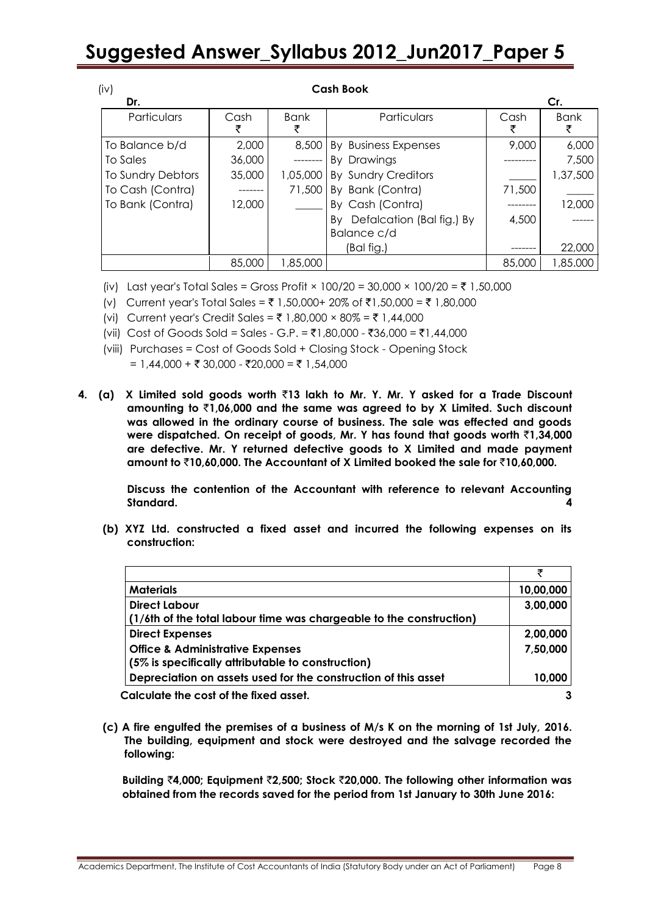| (iv)              |        |             | <b>Cash Book</b>                |           |             |
|-------------------|--------|-------------|---------------------------------|-----------|-------------|
| Dr.               |        |             |                                 |           | Cr.         |
| Particulars       | Cash   | <b>Bank</b> | Particulars                     | Cash<br>₹ | <b>Bank</b> |
| To Balance b/d    | 2,000  | 8,500       | By Business Expenses            | 9,000     | 6,000       |
| To Sales          | 36,000 |             | By Drawings                     |           | 7,500       |
| To Sundry Debtors | 35,000 | 1,05,000    | By Sundry Creditors             |           | 1,37,500    |
| To Cash (Contra)  |        | 71,500      | By Bank (Contra)                | 71,500    |             |
| To Bank (Contra)  | 12,000 |             | By Cash (Contra)                |           | 12,000      |
|                   |        |             | Defalcation (Bal fig.) By<br>Bv | 4,500     |             |
|                   |        |             | Balance c/d                     |           |             |
|                   |        |             | (Bal fig.)                      |           | 22,000      |
|                   | 85,000 | 1,85,000    |                                 | 85,000    | 1,85.000    |

(iv) Last year's Total Sales = Gross Profit × 100/20 = 30,000 × 100/20 = ₹ 1,50,000

- (v) Current year's Total Sales = ₹ 1,50,000+ 20% of ₹1,50,000 = ₹ 1,80,000
- (vi) Current year's Credit Sales =  $\bar{z}$  1,80,000 × 80% =  $\bar{z}$  1,44,000
- (vii) Cost of Goods Sold = Sales G.P. = ₹1,80,000 ₹36,000 = ₹1,44,000
- (viii) Purchases = Cost of Goods Sold + Closing Stock Opening Stock  $= 1,44,000 + ₹ 30,000 - ₹20,000 = ₹ 1,54,000$
- **4. (a) X Limited sold goods worth** `**13 lakh to Mr. Y. Mr. Y asked for a Trade Discount amounting to** `**1,06,000 and the same was agreed to by X Limited. Such discount was allowed in the ordinary course of business. The sale was effected and goods were dispatched. On receipt of goods, Mr. Y has found that goods worth** `**1,34,000 are defective. Mr. Y returned defective goods to X Limited and made payment amount to** `**10,60,000. The Accountant of X Limited booked the sale for** `**10,60,000.**

**Discuss the contention of the Accountant with reference to relevant Accounting Standard. 4**

**(b) XYZ Ltd. constructed a fixed asset and incurred the following expenses on its construction:** 

| <b>Materials</b>                                                    | 10,00,000 |
|---------------------------------------------------------------------|-----------|
| <b>Direct Labour</b>                                                | 3,00,000  |
| (1/6th of the total labour time was chargeable to the construction) |           |
| <b>Direct Expenses</b>                                              | 2,00,000  |
| <b>Office &amp; Administrative Expenses</b>                         | 7,50,000  |
| (5% is specifically attributable to construction)                   |           |
| Depreciation on assets used for the construction of this asset      | 10,000    |
| Calculate the cost of the fixed asset.                              | 3         |

**(c) A fire engulfed the premises of a business of M/s K on the morning of 1st July, 2016. The building, equipment and stock were destroyed and the salvage recorded the following:**

**Building** `**4,000; Equipment** `**2,500; Stock** `**20,000. The following other information was obtained from the records saved for the period from 1st January to 30th June 2016:**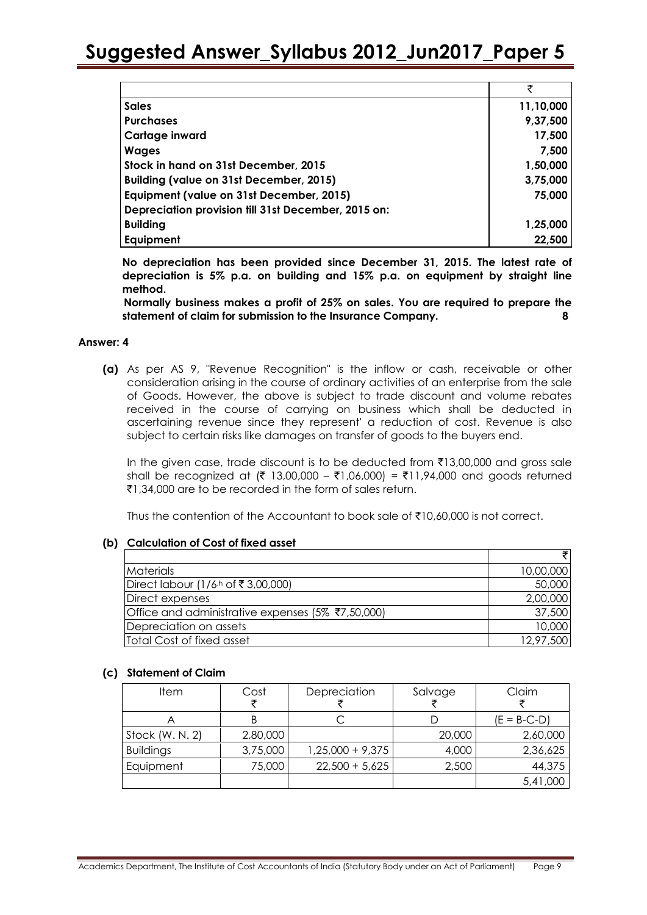|                                                     | ₹         |
|-----------------------------------------------------|-----------|
| <b>Sales</b>                                        | 11,10,000 |
| <b>Purchases</b>                                    | 9,37,500  |
| Cartage inward                                      | 17,500    |
| <b>Wages</b>                                        | 7,500     |
| Stock in hand on 31st December, 2015                | 1,50,000  |
| <b>Building (value on 31st December, 2015)</b>      | 3,75,000  |
| Equipment (value on 31st December, 2015)            | 75,000    |
| Depreciation provision till 31st December, 2015 on: |           |
| <b>Building</b>                                     | 1,25,000  |
| Equipment                                           | 22,500    |

**No depreciation has been provided since December 31, 2015. The latest rate of depreciation is 5% p.a. on building and 15% p.a. on equipment by straight line method.**

**Normally business makes a profit of 25% on sales. You are required to prepare the statement of claim for submission to the Insurance Company. 8**

#### **Answer: 4**

**(a)** As per AS 9, "Revenue Recognition" is the inflow or cash, receivable or other consideration arising in the course of ordinary activities of an enterprise from the sale of Goods. However, the above is subject to trade discount and volume rebates received in the course of carrying on business which shall be deducted in ascertaining revenue since they represent' a reduction of cost. Revenue is also subject to certain risks like damages on transfer of goods to the buyers end.

In the given case, trade discount is to be deducted from  $\bar{\tau}$ 13,00,000 and gross sale shall be recognized at (₹ 13,00,000 – ₹1,06,000) = ₹11,94,000 and goods returned ₹1,34,000 are to be recorded in the form of sales return.

Thus the contention of the Accountant to book sale of  $\bar{\tau}10.60,000$  is not correct.

#### **(b) Calculation of Cost of fixed asset**

| <i>Materials</i>                                  | 10,00,000 |
|---------------------------------------------------|-----------|
| Direct labour (1/6 <sup>h</sup> of ₹3,00,000)     | 50,000    |
| Direct expenses                                   | 2,00,000  |
| Office and administrative expenses (5% ₹7,50,000) | 37,500    |
| Depreciation on assets                            | 10,000    |
| Total Cost of fixed asset                         | 12,97,500 |

#### **(c) Statement of Claim**

| <b>Item</b>      | Cost<br>₹ | Depreciation       | Salvage | Claim         |
|------------------|-----------|--------------------|---------|---------------|
|                  |           |                    |         | $(E = B-C-D)$ |
| Stock (W. N. 2)  | 2,80,000  |                    | 20,000  | 2,60,000      |
| <b>Buildings</b> | 3,75,000  | $1,25,000 + 9,375$ | 4,000   | 2,36,625      |
| Equipment        | 75,000    | $22,500 + 5,625$   | 2,500   | 44,375        |
|                  |           |                    |         | 5,41,000      |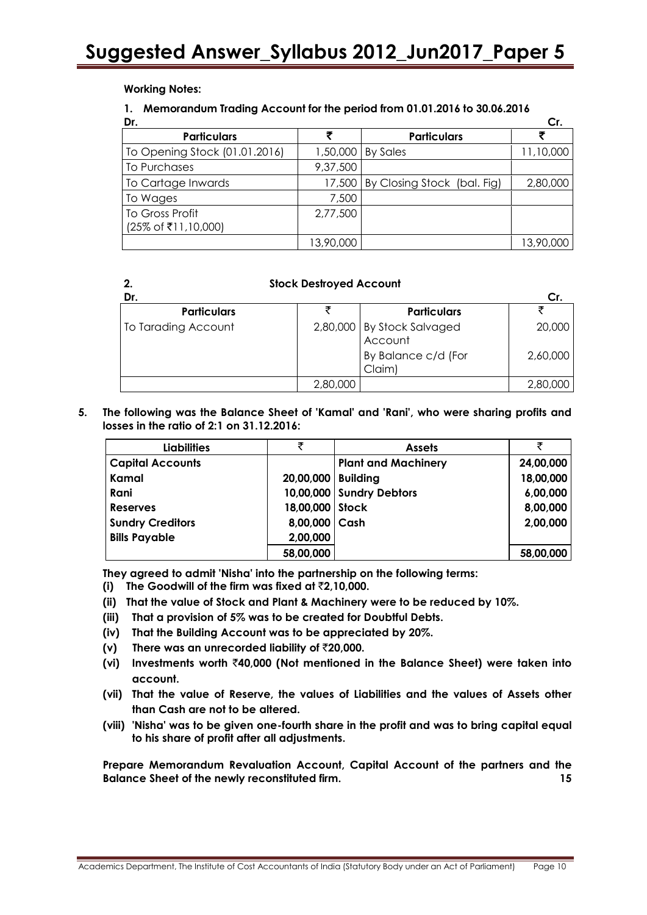**Working Notes:** 

#### **1. Memorandum Trading Account for the period from 01.01.2016 to 30.06.2016**

| Dr.                                    |           |                                    | Cr.       |
|----------------------------------------|-----------|------------------------------------|-----------|
| <b>Particulars</b>                     | ₹         | <b>Particulars</b>                 |           |
| To Opening Stock (01.01.2016)          |           | 1,50,000 By Sales                  | 11,10,000 |
| To Purchases                           | 9,37,500  |                                    |           |
| To Cartage Inwards                     |           | 17,500 By Closing Stock (bal. Fig) | 2,80,000  |
| To Wages                               | 7,500     |                                    |           |
| To Gross Profit<br>(25% of ₹11,10,000) | 2,77,500  |                                    |           |
|                                        | 13,90,000 |                                    | 13,90,000 |

| <b>Stock Destroyed Account</b> |
|--------------------------------|
|                                |

| Dr.                 |          |                                       |          |
|---------------------|----------|---------------------------------------|----------|
| <b>Particulars</b>  |          | <b>Particulars</b>                    |          |
| To Tarading Account |          | 2,80,000 By Stock Salvaged<br>Account | 20,000   |
|                     |          | By Balance c/d (For<br>Claim)         | 2,60,000 |
|                     | 2,80,000 |                                       | 2,80,000 |

**5. The following was the Balance Sheet of 'Kamal' and 'Rani', who were sharing profits and losses in the ratio of 2:1 on 31.12.2016:**

| <b>Liabilities</b>      | ₹                    | <b>Assets</b>              | ₹         |
|-------------------------|----------------------|----------------------------|-----------|
| <b>Capital Accounts</b> |                      | <b>Plant and Machinery</b> | 24,00,000 |
| Kamal                   | 20,00,000   Building |                            | 18,00,000 |
| Rani                    |                      | 10,00,000 Sundry Debtors   | 6,00,000  |
| <b>Reserves</b>         | 18,00,000 Stock      |                            | 8,00,000  |
| <b>Sundry Creditors</b> | 8,00,000 Cash        |                            | 2,00,000  |
| <b>Bills Payable</b>    | 2,00,000             |                            |           |
|                         | 58,00,000            |                            | 58,00,000 |

**They agreed to admit 'Nisha' into the partnership on the following terms:**

- **(i) The Goodwill of the firm was fixed at** `**2,10,000.**
- **(ii) That the value of Stock and Plant & Machinery were to be reduced by 10%.**
- **(iii) That a provision of 5% was to be created for Doubtful Debts.**
- **(iv) That the Building Account was to be appreciated by 20%.**
- **(v) There was an unrecorded liability of** `**20,000.**
- **(vi) Investments worth** `**40,000 (Not mentioned in the Balance Sheet) were taken into account.**
- **(vii) That the value of Reserve, the values of Liabilities and the values of Assets other than Cash are not to be altered.**
- **(viii) 'Nisha' was to be given one-fourth share in the profit and was to bring capital equal to his share of profit after all adjustments.**

**Prepare Memorandum Revaluation Account, Capital Account of the partners and the Balance Sheet of the newly reconstituted firm. 15**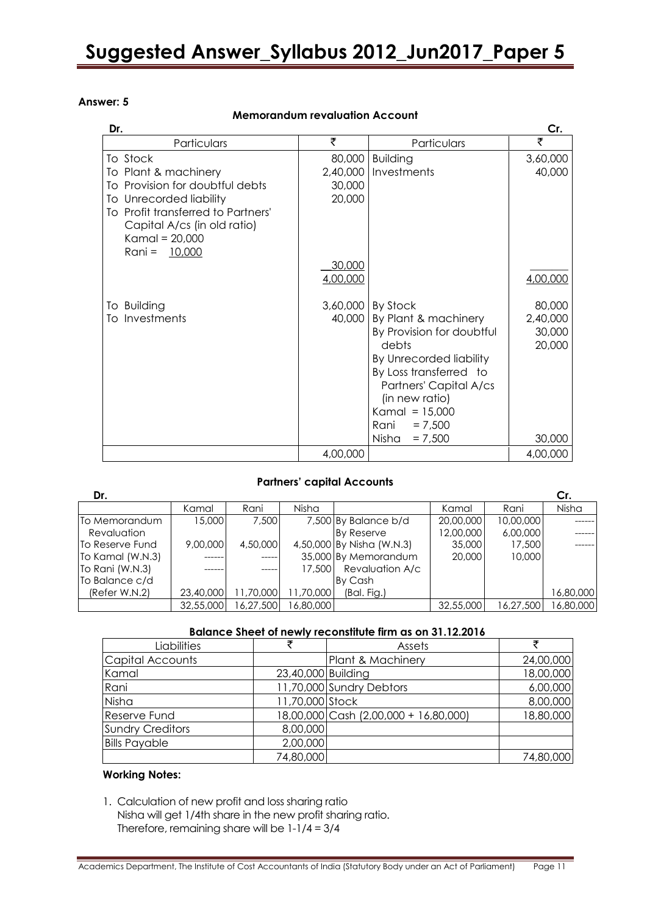#### **Answer: 5**

#### **Memorandum revaluation Account**

| Dr.                                |          |                           | Cr.      |
|------------------------------------|----------|---------------------------|----------|
| Particulars                        | ₹        | Particulars               | ₹        |
| To Stock                           | 80,000   | <b>Building</b>           | 3,60,000 |
| To Plant & machinery               | 2,40,000 | Investments               | 40,000   |
| To Provision for doubtful debts    | 30,000   |                           |          |
| To Unrecorded liability            | 20,000   |                           |          |
| To Profit transferred to Partners' |          |                           |          |
| Capital A/cs (in old ratio)        |          |                           |          |
| Kamal = $20,000$                   |          |                           |          |
| Rani =<br>10,000                   |          |                           |          |
|                                    | 30,000   |                           |          |
|                                    | 4,00,000 |                           | 4,00,000 |
| To Building                        | 3,60,000 | By Stock                  | 80,000   |
| To Investments                     | 40,000   | By Plant & machinery      | 2,40,000 |
|                                    |          | By Provision for doubtful | 30,000   |
|                                    |          | debts                     | 20,000   |
|                                    |          | By Unrecorded liability   |          |
|                                    |          | By Loss transferred to    |          |
|                                    |          | Partners' Capital A/cs    |          |
|                                    |          | (in new ratio)            |          |
|                                    |          | Kamal = $15,000$          |          |
|                                    |          | Rani<br>$= 7,500$         |          |
|                                    |          | Nisha<br>$= 7,500$        | 30,000   |
|                                    | 4,00,000 |                           | 4,00,000 |

#### **Partners' capital Accounts**

| Dr.              |           |           |           |                           |           |           | Cr.       |
|------------------|-----------|-----------|-----------|---------------------------|-----------|-----------|-----------|
|                  | Kamal     | Rani      | Nisha     |                           | Kamal     | Rani      | Nisha     |
| To Memorandum    | 15,000    | 7,500     |           | 7,500 By Balance b/d      | 20,00,000 | 10,00,000 |           |
| Revaluation      |           |           |           | By Reserve                | 12,00,000 | 6,00,000  |           |
| To Reserve Fund  | 9,00,000  | 4,50,000  |           | 4,50,000 By Nisha (W.N.3) | 35,000    | 17,500    |           |
| To Kamal (W.N.3) |           |           |           | 35,000 By Memorandum      | 20,000    | 10,000    |           |
| To Rani (W.N.3)  |           |           | 17,500    | Revaluation A/c           |           |           |           |
| To Balance c/d   |           |           |           | By Cash                   |           |           |           |
| (Refer W.N.2)    | 23,40,000 | 11,70,000 | 11,70,000 | (Bal. Fig.)               |           |           | 16,80,000 |
|                  | 32,55,000 | 16.27.500 | 16,80,000 |                           | 32,55,000 | 16,27,500 | 16,80,000 |

#### **Balance Sheet of newly reconstitute firm as on 31.12.2016**

| Liabilities             |                    | Assets                                |           |
|-------------------------|--------------------|---------------------------------------|-----------|
| Capital Accounts        |                    | Plant & Machinery                     | 24,00,000 |
| Kamal                   | 23,40,000 Building |                                       | 18,00,000 |
| Rani                    |                    | 11,70,000 Sundry Debtors              | 6,00,000  |
| Nisha                   | 11,70,000 Stock    |                                       | 8,00,000  |
| <b>Reserve Fund</b>     |                    | 18,00,000 Cash (2,00,000 + 16,80,000) | 18,80,000 |
| <b>Sundry Creditors</b> | 8,00,000           |                                       |           |
| <b>Bills Payable</b>    | 2,00,000           |                                       |           |
|                         | 74,80,000          |                                       | 74,80,000 |

#### **Working Notes:**

1. Calculation of new profit and loss sharing ratio Nisha will get 1/4th share in the new profit sharing ratio. Therefore, remaining share will be 1-1/4 = 3/4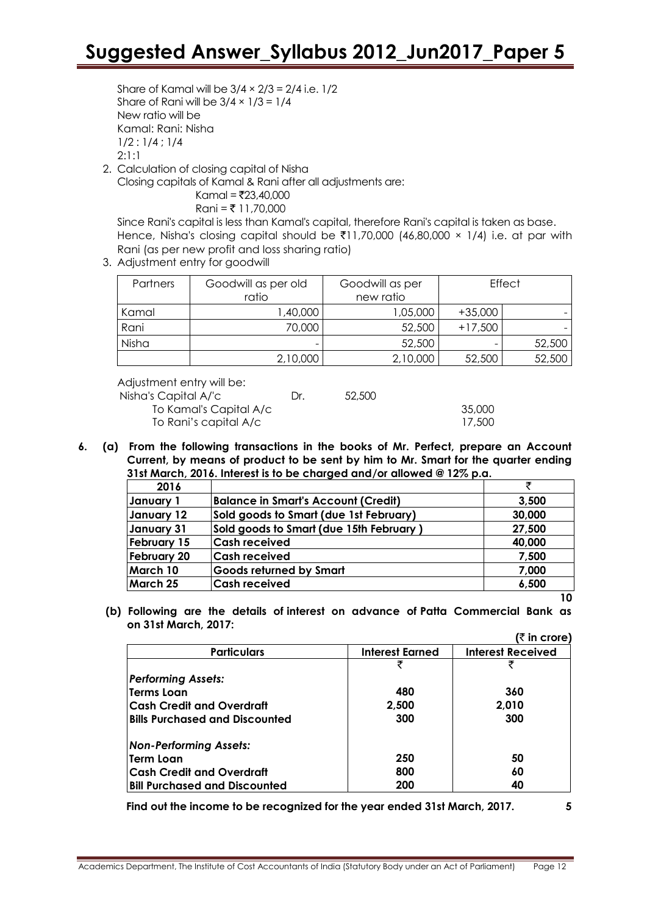Share of Kamal will be  $3/4 \times 2/3 = 2/4$  i.e.  $1/2$ Share of Rani will be  $3/4 \times 1/3 = 1/4$ New ratio will be Kamal: Rani: Nisha 1/2 : 1/4 ; 1/4 2:1:1

2. Calculation of closing capital of Nisha

Closing capitals of Kamal & Rani after all adjustments are:

Kamal = `23,40,000 Rani = ` 11,70,000

Since Rani's capital is less than Kamal's capital, therefore Rani's capital is taken as base. Hence, Nisha's closing capital should be  $\bar{\tau}$ 11,70,000 (46,80,000 × 1/4) i.e. at par with Rani (as per new profit and loss sharing ratio)

3. Adjustment entry for goodwill

| Partners | Goodwill as per old<br>ratio | Goodwill as per<br>new ratio |           | <b>Effect</b> |
|----------|------------------------------|------------------------------|-----------|---------------|
| Kamal    | ,40,000                      | 1,05,000                     | $+35,000$ |               |
| Rani     | 70,000                       | 52,500                       | $+17,500$ |               |
| Nisha    |                              | 52,500                       |           | 52,500        |
|          | 2,10,000                     | 2,10,000                     | 52,500    | 52,500        |

Adjustment entry will be:

Nisha's Capital A/'c Dr. 52,500 To Kamal's Capital A/c 35,000 To Rani's capital A/c 17,500

- 
- **6. (a) From the following transactions in the books of Mr. Perfect, prepare an Account Current, by means of product to be sent by him to Mr. Smart for the quarter ending 31st March, 2016. Interest is to be charged and/or allowed @ 12% p.a.**

| 2016               |                                            |        |
|--------------------|--------------------------------------------|--------|
| January 1          | <b>Balance in Smart's Account (Credit)</b> | 3,500  |
| January 12         | Sold goods to Smart (due 1st February)     | 30,000 |
| January 31         | Sold goods to Smart (due 15th February)    | 27,500 |
| February 15        | <b>Cash received</b>                       | 40,000 |
| <b>February 20</b> | <b>Cash received</b>                       | 7,500  |
| March 10           | <b>Goods returned by Smart</b>             | 7,000  |
| March 25           | <b>Cash received</b>                       | 6,500  |
|                    |                                            | 10     |

**(b) Following are the details of interest on advance of Patta Commercial Bank as on 31st March, 2017:**  $(\bar{x}$  in crore)

|                                       |                        | ו ווו טוטופן             |
|---------------------------------------|------------------------|--------------------------|
| <b>Particulars</b>                    | <b>Interest Earned</b> | <b>Interest Received</b> |
|                                       | ₹                      | ₹                        |
| <b>Performing Assets:</b>             |                        |                          |
| Terms Loan                            | 480                    | 360                      |
| Cash Credit and Overdraft             | 2,500                  | 2,010                    |
| <b>Bills Purchased and Discounted</b> | 300                    | 300                      |
| <b>Non-Performing Assets:</b>         |                        |                          |
| lTerm Loan                            | 250                    | 50                       |
| Cash Credit and Overdraft             | 800                    | 60                       |
| <b>Bill Purchased and Discounted</b>  | 200                    | 40                       |

**Find out the income to be recognized for the year ended 31st March, 2017. 5**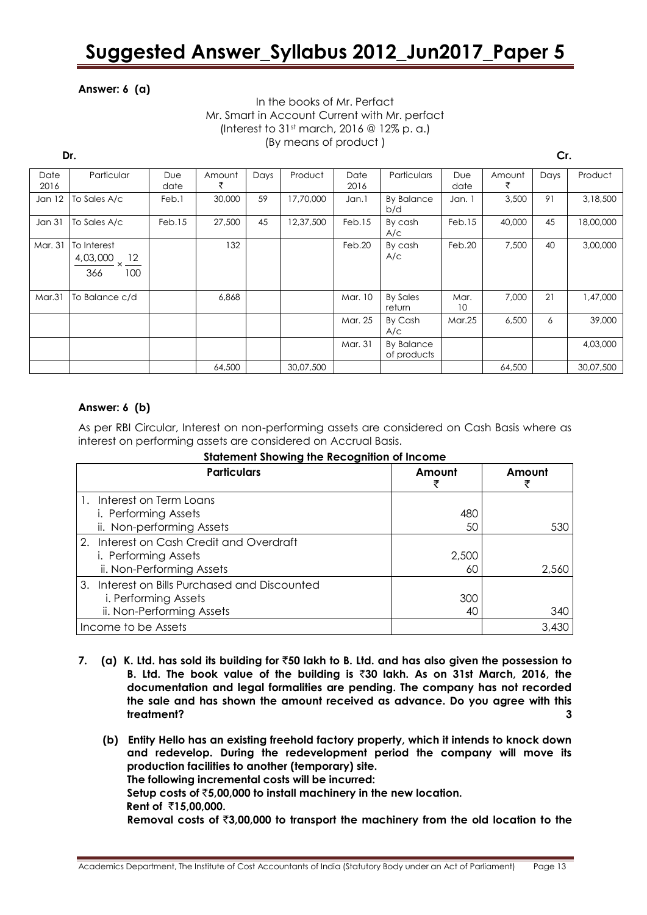#### **Answer: 6 (a)**

#### In the books of Mr. Perfact Mr. Smart in Account Current with Mr. perfact (Interest to  $31<sup>st</sup>$  march, 2016 @ 12% p. a.) (By means of product )

#### **Dr. Cr.**

| Date<br>2016  | Particular                                  | <b>Due</b><br>date | Amount<br>₹ | Days | Product   | Date<br>2016 | Particulars                      | <b>Due</b><br>date | Amount | Days | Product   |
|---------------|---------------------------------------------|--------------------|-------------|------|-----------|--------------|----------------------------------|--------------------|--------|------|-----------|
| Jan $12$      | To Sales A/c                                | Feb.1              | 30,000      | 59   | 17,70,000 | Jan.1        | <b>By Balance</b><br>b/d         | Jan. 1             | 3,500  | 91   | 3,18,500  |
| <b>Jan 31</b> | To Sales A/c                                | Feb.15             | 27,500      | 45   | 12,37,500 | Feb.15       | By cash<br>A/C                   | Feb.15             | 40,000 | 45   | 18,00,000 |
| Mar. 31       | To Interest<br>12<br>4,03,000<br>100<br>366 |                    | 132         |      |           | Feb.20       | By cash<br>A/C                   | Feb.20             | 7,500  | 40   | 3,00,000  |
| Mar.31        | To Balance c/d                              |                    | 6,868       |      |           | Mar. 10      | <b>By Sales</b><br>return        | Mar.<br>10         | 7,000  | 21   | 1,47,000  |
|               |                                             |                    |             |      |           | Mar. 25      | By Cash<br>A/C                   | Mar.25             | 6,500  | 6    | 39,000    |
|               |                                             |                    |             |      |           | Mar. 31      | <b>By Balance</b><br>of products |                    |        |      | 4,03,000  |
|               |                                             |                    | 64,500      |      | 30,07,500 |              |                                  |                    | 64,500 |      | 30,07,500 |

#### **Answer: 6 (b)**

As per RBI Circular, Interest on non-performing assets are considered on Cash Basis where as interest on performing assets are considered on Accrual Basis.

| <u>alarchitem and wing mic weedgmmon of medine</u><br><b>Particulars</b> | Amount | Amount |
|--------------------------------------------------------------------------|--------|--------|
| Interest on Term Loans                                                   |        |        |
| i. Performing Assets                                                     | 480    |        |
| ii. Non-performing Assets                                                | 50     | 530    |
| 2. Interest on Cash Credit and Overdraft                                 |        |        |
| i. Performing Assets                                                     | 2,500  |        |
| ii. Non-Performing Assets                                                | 60     | 2,560  |
| 3. Interest on Bills Purchased and Discounted                            |        |        |
| i. Performing Assets                                                     | 300    |        |
| ii. Non-Performing Assets                                                | 40     | 340    |
| Income to be Assets                                                      |        | 3,430  |

**Statement Showing the Recognition of Income**

- **7. (a) K. Ltd. has sold its building for** `**50 lakh to B. Ltd. and has also given the possession to B. Ltd. The book value of the building is** `**30 lakh. As on 31st March, 2016, the documentation and legal formalities are pending. The company has not recorded the sale and has shown the amount received as advance. Do you agree with this treatment? 3**
	- **(b) Entity Hello has an existing freehold factory property, which it intends to knock down and redevelop. During the redevelopment period the company will move its production facilities to another (temporary) site. The following incremental costs will be incurred: Setup costs of** `**5,00,000 to install machinery in the new location. Rent of** `**15,00,000. Removal costs of** `**3,00,000 to transport the machinery from the old location to the**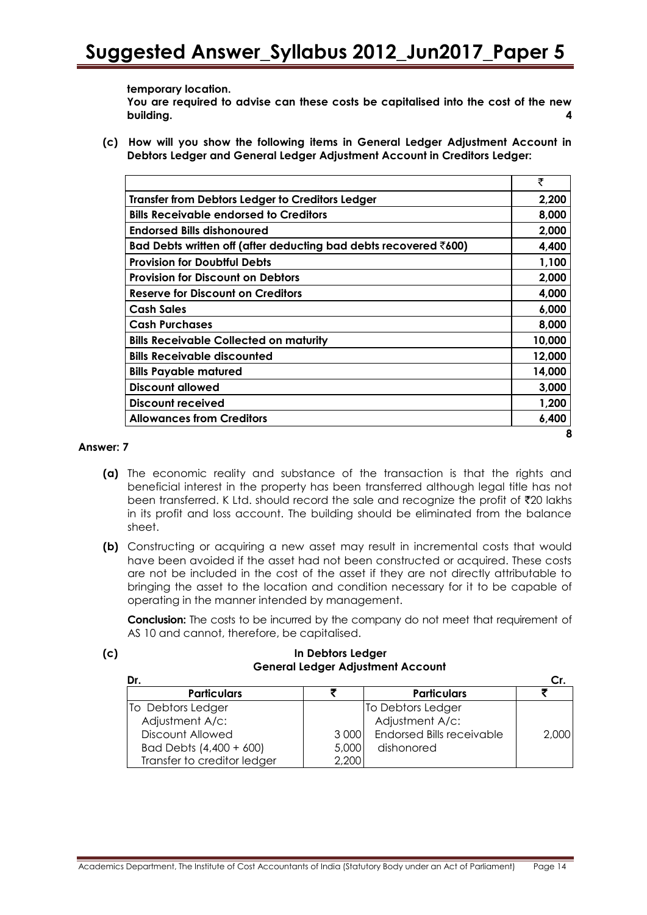**temporary location.**

**You are required to advise can these costs be capitalised into the cost of the new building. 4**

**(c) How will you show the following items in General Ledger Adjustment Account in Debtors Ledger and General Ledger Adjustment Account in Creditors Ledger:**

|                                                                           | ₹      |
|---------------------------------------------------------------------------|--------|
| Transfer from Debtors Ledger to Creditors Ledger                          | 2,200  |
| <b>Bills Receivable endorsed to Creditors</b>                             | 8,000  |
| <b>Endorsed Bills dishonoured</b>                                         | 2,000  |
| Bad Debts written off (after deducting bad debts recovered $\bar{z}600$ ) | 4,400  |
| <b>Provision for Doubtful Debts</b>                                       | 1,100  |
| <b>Provision for Discount on Debtors</b>                                  | 2,000  |
| <b>Reserve for Discount on Creditors</b>                                  | 4,000  |
| <b>Cash Sales</b>                                                         | 6,000  |
| <b>Cash Purchases</b>                                                     | 8,000  |
| <b>Bills Receivable Collected on maturity</b>                             | 10,000 |
| <b>Bills Receivable discounted</b>                                        | 12,000 |
| <b>Bills Payable matured</b>                                              | 14,000 |
| <b>Discount allowed</b>                                                   | 3,000  |
| Discount received                                                         | 1,200  |
| <b>Allowances from Creditors</b>                                          | 6,400  |
|                                                                           |        |

#### **Answer: 7**

- **(a)** The economic reality and substance of the transaction is that the rights and beneficial interest in the property has been transferred although legal title has not been transferred. K Ltd. should record the sale and recognize the profit of  $\bar{\tau}$ 20 lakhs in its profit and loss account. The building should be eliminated from the balance sheet.
- **(b)** Constructing or acquiring a new asset may result in incremental costs that would have been avoided if the asset had not been constructed or acquired. These costs are not be included in the cost of the asset if they are not directly attributable to bringing the asset to the location and condition necessary for it to be capable of operating in the manner intended by management.

**Conclusion:** The costs to be incurred by the company do not meet that requirement of AS 10 and cannot, therefore, be capitalised.

#### **(c) In Debtors Ledger General Ledger Adjustment Account**

| Dr.                         |       |                                  |       |
|-----------------------------|-------|----------------------------------|-------|
| <b>Particulars</b>          |       | <b>Particulars</b>               |       |
| To Debtors Ledger           |       | To Debtors Ledger                |       |
| Adjustment A/c:             |       | Adjustment A/c:                  |       |
| Discount Allowed            | 3 000 | <b>Endorsed Bills receivable</b> | 2,000 |
| Bad Debts (4,400 + 600)     | 5,000 | dishonored                       |       |
| Transfer to creditor ledger | 2,200 |                                  |       |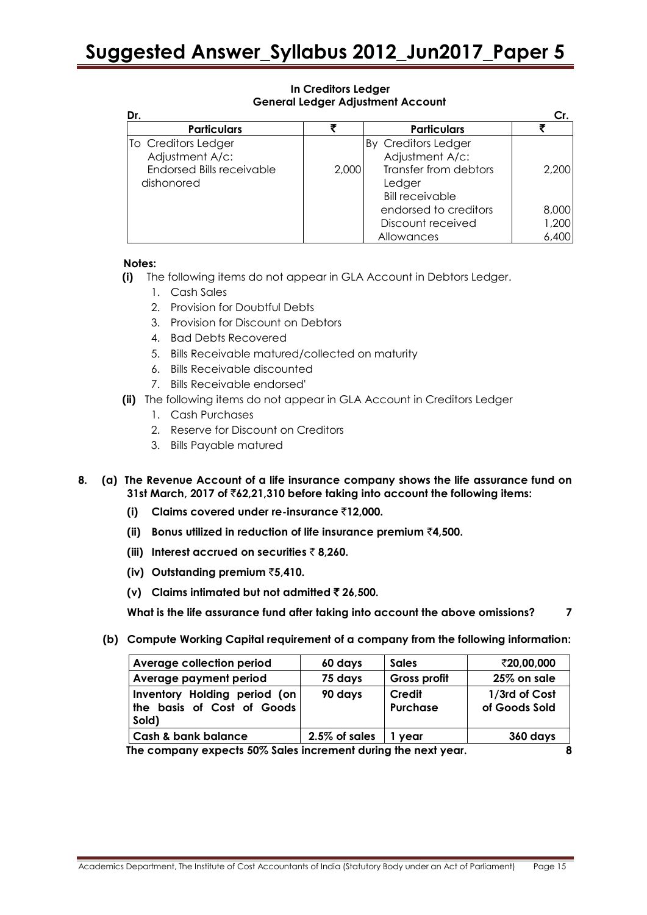#### **In Creditors Ledger General Ledger Adjustment Account**

| Dr.                                            |       |                                                           |       |
|------------------------------------------------|-------|-----------------------------------------------------------|-------|
| <b>Particulars</b>                             | Ŧ     | <b>Particulars</b>                                        |       |
| To Creditors Ledger<br>Adjustment A/c:         |       | By Creditors Ledger<br>Adjustment A/c:                    |       |
| <b>Endorsed Bills receivable</b><br>dishonored | 2,000 | Transfer from debtors<br>Ledger<br><b>Bill receivable</b> | 2,200 |
|                                                |       | endorsed to creditors                                     | 8,000 |
|                                                |       | Discount received                                         | 1,200 |
|                                                |       | Allowances                                                | 6.40C |

#### **Notes:**

- **(i)** The following items do not appear in GLA Account in Debtors Ledger.
	- 1. Cash Sales
	- 2. Provision for Doubtful Debts
	- 3. Provision for Discount on Debtors
	- 4. Bad Debts Recovered
	- 5. Bills Receivable matured/collected on maturity
	- 6. Bills Receivable discounted
	- 7. Bills Receivable endorsed'
- **(ii)** The following items do not appear in GLA Account in Creditors Ledger
	- 1. Cash Purchases
	- 2. Reserve for Discount on Creditors
	- 3. Bills Payable matured

#### **8. (a) The Revenue Account of a life insurance company shows the life assurance fund on 31st March, 2017 of** `**62,21,310 before taking into account the following items:**

- **(i) Claims covered under re-insurance** `**12,000.**
- **(ii) Bonus utilized in reduction of life insurance premium** `**4,500.**
- **(iii) Interest accrued on securities** ` **8,260.**
- **(iv) Outstanding premium** `**5,410.**
- **(v) Claims intimated but not admitted** ` **26,500.**

**What is the life assurance fund after taking into account the above omissions? 7**

**(b) Compute Working Capital requirement of a company from the following information:** 

| Average collection period                                                             | 60 days       | <b>Sales</b>       | ₹20,00,000                     |
|---------------------------------------------------------------------------------------|---------------|--------------------|--------------------------------|
| Average payment period                                                                | 75 days       | Gross profit       | 25% on sale                    |
| Inventory Holding period (on<br>$\sf{H}$ the basis of Cost of Goods $\sf{H}$<br>Sold) | 90 days       | Credit<br>Purchase | 1/3rd of Cost<br>of Goods Sold |
| <b>Cash &amp; bank balance</b>                                                        | 2.5% of sales | vear               | 360 days                       |

**The company expects 50% Sales increment during the next year. 8**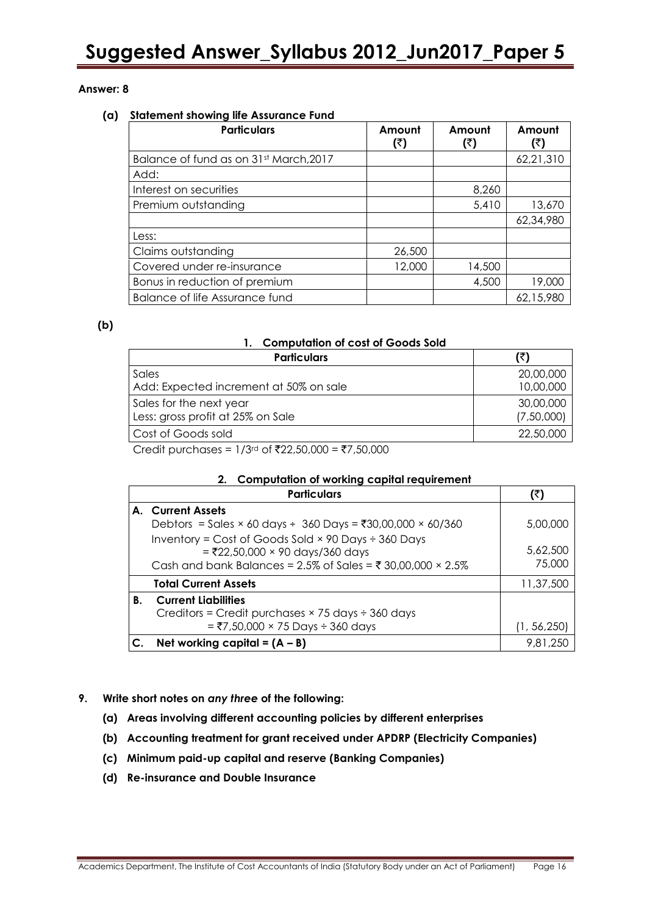#### **Answer: 8**

#### **(a) Statement showing life Assurance Fund**

| <b>Particulars</b>                     | Amount<br>(₹) | Amount<br>(₹) | Amount<br>(₹) |
|----------------------------------------|---------------|---------------|---------------|
| Balance of fund as on 31st March, 2017 |               |               | 62,21,310     |
| Add:                                   |               |               |               |
| Interest on securities                 |               | 8,260         |               |
| Premium outstanding                    |               | 5,410         | 13,670        |
|                                        |               |               | 62,34,980     |
| Less:                                  |               |               |               |
| Claims outstanding                     | 26,500        |               |               |
| Covered under re-insurance             | 12,000        | 14,500        |               |
| Bonus in reduction of premium          |               | 4,500         | 19,000        |
| Balance of life Assurance fund         |               |               | 62,15,980     |

#### **(b)**

#### **1. Computation of cost of Goods Sold**

| <b>Particulars</b>                     |            |
|----------------------------------------|------------|
| Sales                                  | 20,00,000  |
| Add: Expected increment at 50% on sale | 10,00,000  |
| Sales for the next year                | 30,00,000  |
| Less: gross profit at 25% on Sale      | (7,50,000) |
| Cost of Goods sold                     | 22,50,000  |
|                                        |            |

Credit purchases =  $1/3$ <sup>rd</sup> of ₹22,50,000 = ₹7,50,000

#### **2. Computation of working capital requirement**

|    | <b>Particulars</b>                                                                                                                                                    | (₹)                |
|----|-----------------------------------------------------------------------------------------------------------------------------------------------------------------------|--------------------|
|    | A. Current Assets                                                                                                                                                     |                    |
|    | Debtors = Sales × 60 days ÷ 360 Days = ₹30,00,000 × 60/360                                                                                                            | 5,00,000           |
|    | Inventory = Cost of Goods Sold $\times$ 90 Days ÷ 360 Days<br>$=$ ₹22,50,000 × 90 days/360 days<br>Cash and bank Balances = 2.5% of Sales = ₹ 30,00,000 $\times$ 2.5% | 5,62,500<br>75,000 |
|    | <b>Total Current Assets</b>                                                                                                                                           | 11,37,500          |
| В. | <b>Current Liabilities</b>                                                                                                                                            |                    |
|    | Creditors = Credit purchases $\times$ 75 days ÷ 360 days                                                                                                              |                    |
|    | $=$ ₹7,50,000 × 75 Days ÷ 360 days                                                                                                                                    | (1, 56, 250)       |
|    | Net working capital = $(A - B)$                                                                                                                                       | 9,81,250           |

- **9. Write short notes on** *any three* **of the following:**
	- **(a) Areas involving different accounting policies by different enterprises**
	- **(b) Accounting treatment for grant received under APDRP (Electricity Companies)**
	- **(c) Minimum paid-up capital and reserve (Banking Companies)**
	- **(d) Re-insurance and Double Insurance**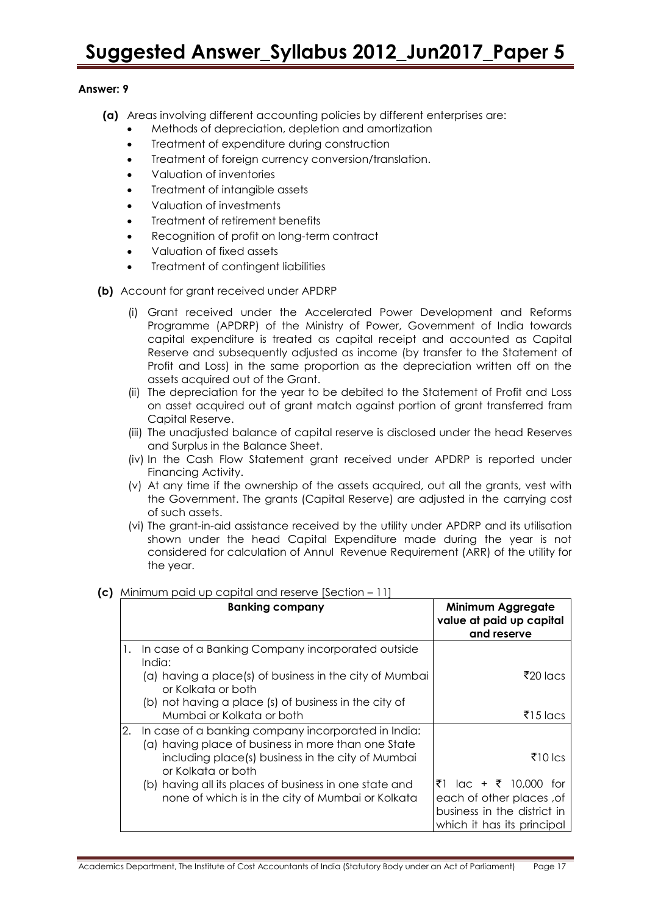#### **Answer: 9**

- **(a)** Areas involving different accounting policies by different enterprises are:
	- Methods of depreciation, depletion and amortization
	- Treatment of expenditure during construction
	- Treatment of foreign currency conversion/translation.
	- Valuation of inventories
	- Treatment of intangible assets
	- Valuation of investments
	- Treatment of retirement benefits
	- Recognition of profit on long-term contract
	- Valuation of fixed assets
	- Treatment of contingent liabilities
- **(b)** Account for grant received under APDRP
	- (i) Grant received under the Accelerated Power Development and Reforms Programme (APDRP) of the Ministry of Power, Government of India towards capital expenditure is treated as capital receipt and accounted as Capital Reserve and subsequently adjusted as income (by transfer to the Statement of Profit and Loss) in the same proportion as the depreciation written off on the assets acquired out of the Grant.
	- (ii) The depreciation for the year to be debited to the Statement of Profit and Loss on asset acquired out of grant match against portion of grant transferred fram Capital Reserve.
	- (iii) The unadjusted balance of capital reserve is disclosed under the head Reserves and Surplus in the Balance Sheet.
	- (iv) In the Cash Flow Statement grant received under APDRP is reported under Financing Activity.
	- (v) At any time if the ownership of the assets acquired, out all the grants, vest with the Government. The grants (Capital Reserve) are adjusted in the carrying cost of such assets.
	- (vi) The grant-in-aid assistance received by the utility under [APDRP](/PDRP) and its utilisation shown under the head Capital Expenditure made during the year is not considered for calculation of Annul Revenue Requirement (ARR) of the utility for the year.

|    | <b>Banking company</b>                                                                                                                                                                   | Minimum Aggregate<br>value at paid up capital<br>and reserve                                                   |  |  |
|----|------------------------------------------------------------------------------------------------------------------------------------------------------------------------------------------|----------------------------------------------------------------------------------------------------------------|--|--|
| 1. | In case of a Banking Company incorporated outside<br>India:<br>(a) having a place(s) of business in the city of Mumbai<br>or Kolkata or both                                             | $\bar{z}$ 20 lacs                                                                                              |  |  |
|    | (b) not having a place (s) of business in the city of<br>Mumbai or Kolkata or both                                                                                                       | $\overline{5}$ 15 lacs                                                                                         |  |  |
|    | 2. In case of a banking company incorporated in India:<br>(a) having place of business in more than one State<br>including place(s) business in the city of Mumbai<br>or Kolkata or both | ₹10 lcs                                                                                                        |  |  |
|    | (b) having all its places of business in one state and<br>none of which is in the city of Mumbai or Kolkata                                                                              | ₹1 lac + ₹ 10,000 for<br>each of other places, of<br>business in the district in<br>which it has its principal |  |  |

#### **(c)** Minimum paid up capital and reserve [Section – 11]